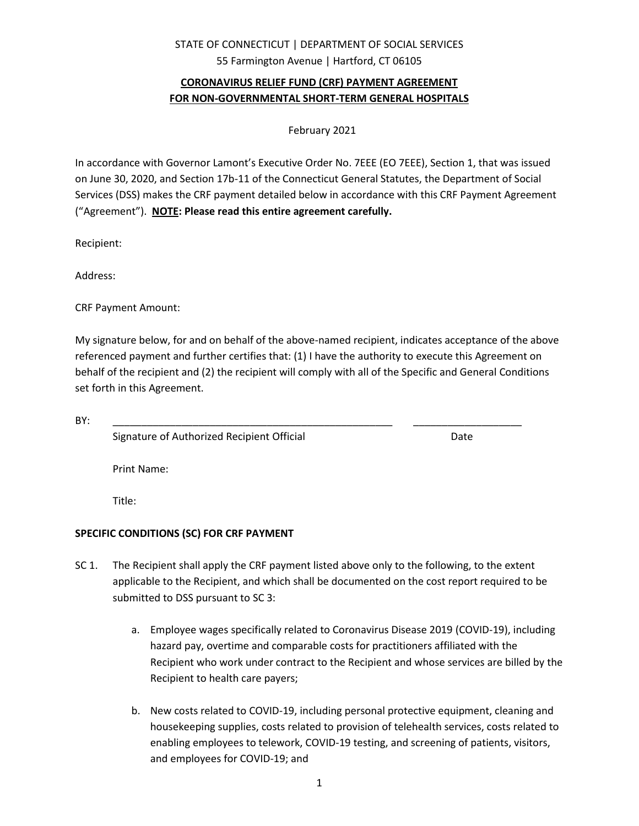## STATE OF CONNECTICUT | DEPARTMENT OF SOCIAL SERVICES 55 Farmington Avenue | Hartford, CT 06105

## **CORONAVIRUS RELIEF FUND (CRF) PAYMENT AGREEMENT FOR NON-GOVERNMENTAL SHORT-TERM GENERAL HOSPITALS**

February 2021

In accordance with Governor Lamont's Executive Order No. 7EEE (EO 7EEE), Section 1, that was issued on June 30, 2020, and Section 17b-11 of the Connecticut General Statutes, the Department of Social Services (DSS) makes the CRF payment detailed below in accordance with this CRF Payment Agreement ("Agreement"). **NOTE: Please read this entire agreement carefully.**

Recipient:

Address:

CRF Payment Amount:

My signature below, for and on behalf of the above-named recipient, indicates acceptance of the above referenced payment and further certifies that: (1) I have the authority to execute this Agreement on behalf of the recipient and (2) the recipient will comply with all of the Specific and General Conditions set forth in this Agreement.

BY: \_\_\_\_\_\_\_\_\_\_\_\_\_\_\_\_\_\_\_\_\_\_\_\_\_\_\_\_\_\_\_\_\_\_\_\_\_\_\_\_\_\_\_\_\_\_\_\_\_ \_\_\_\_\_\_\_\_\_\_\_\_\_\_\_\_\_\_\_

Signature of Authorized Recipient Official **Example 2018** Date

Print Name:

Title:

## **SPECIFIC CONDITIONS (SC) FOR CRF PAYMENT**

- SC 1. The Recipient shall apply the CRF payment listed above only to the following, to the extent applicable to the Recipient, and which shall be documented on the cost report required to be submitted to DSS pursuant to SC 3:
	- a. Employee wages specifically related to Coronavirus Disease 2019 (COVID-19), including hazard pay, overtime and comparable costs for practitioners affiliated with the Recipient who work under contract to the Recipient and whose services are billed by the Recipient to health care payers;
	- b. New costs related to COVID-19, including personal protective equipment, cleaning and housekeeping supplies, costs related to provision of telehealth services, costs related to enabling employees to telework, COVID-19 testing, and screening of patients, visitors, and employees for COVID-19; and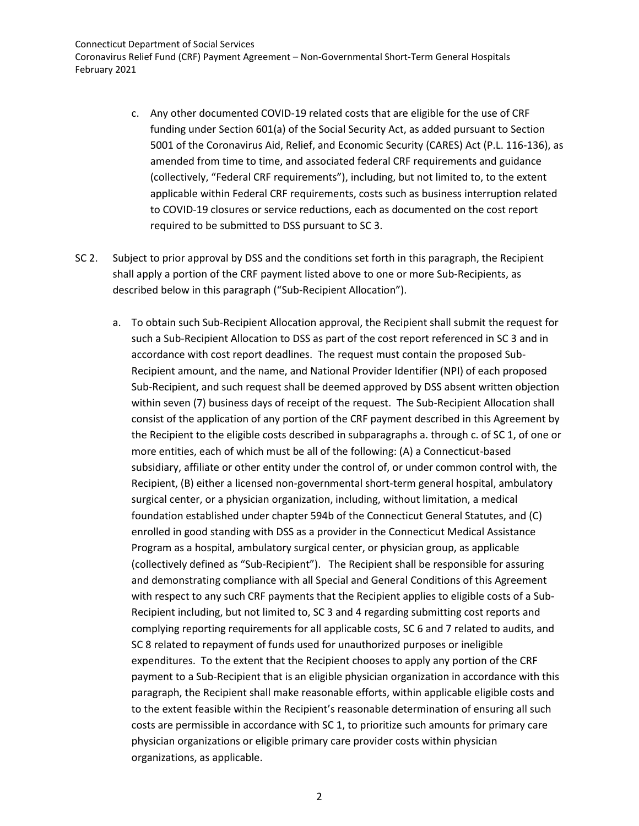Connecticut Department of Social Services Coronavirus Relief Fund (CRF) Payment Agreement – Non-Governmental Short-Term General Hospitals February 2021

- c. Any other documented COVID-19 related costs that are eligible for the use of CRF funding under Section 601(a) of the Social Security Act, as added pursuant to Section 5001 of the Coronavirus Aid, Relief, and Economic Security (CARES) Act (P.L. 116-136), as amended from time to time, and associated federal CRF requirements and guidance (collectively, "Federal CRF requirements"), including, but not limited to, to the extent applicable within Federal CRF requirements, costs such as business interruption related to COVID-19 closures or service reductions, each as documented on the cost report required to be submitted to DSS pursuant to SC 3.
- SC 2. Subject to prior approval by DSS and the conditions set forth in this paragraph, the Recipient shall apply a portion of the CRF payment listed above to one or more Sub-Recipients, as described below in this paragraph ("Sub-Recipient Allocation").
	- a. To obtain such Sub-Recipient Allocation approval, the Recipient shall submit the request for such a Sub-Recipient Allocation to DSS as part of the cost report referenced in SC 3 and in accordance with cost report deadlines. The request must contain the proposed Sub-Recipient amount, and the name, and National Provider Identifier (NPI) of each proposed Sub-Recipient, and such request shall be deemed approved by DSS absent written objection within seven (7) business days of receipt of the request. The Sub-Recipient Allocation shall consist of the application of any portion of the CRF payment described in this Agreement by the Recipient to the eligible costs described in subparagraphs a. through c. of SC 1, of one or more entities, each of which must be all of the following: (A) a Connecticut-based subsidiary, affiliate or other entity under the control of, or under common control with, the Recipient, (B) either a licensed non-governmental short-term general hospital, ambulatory surgical center, or a physician organization, including, without limitation, a medical foundation established under chapter 594b of the Connecticut General Statutes, and (C) enrolled in good standing with DSS as a provider in the Connecticut Medical Assistance Program as a hospital, ambulatory surgical center, or physician group, as applicable (collectively defined as "Sub-Recipient"). The Recipient shall be responsible for assuring and demonstrating compliance with all Special and General Conditions of this Agreement with respect to any such CRF payments that the Recipient applies to eligible costs of a Sub-Recipient including, but not limited to, SC 3 and 4 regarding submitting cost reports and complying reporting requirements for all applicable costs, SC 6 and 7 related to audits, and SC 8 related to repayment of funds used for unauthorized purposes or ineligible expenditures. To the extent that the Recipient chooses to apply any portion of the CRF payment to a Sub-Recipient that is an eligible physician organization in accordance with this paragraph, the Recipient shall make reasonable efforts, within applicable eligible costs and to the extent feasible within the Recipient's reasonable determination of ensuring all such costs are permissible in accordance with SC 1, to prioritize such amounts for primary care physician organizations or eligible primary care provider costs within physician organizations, as applicable.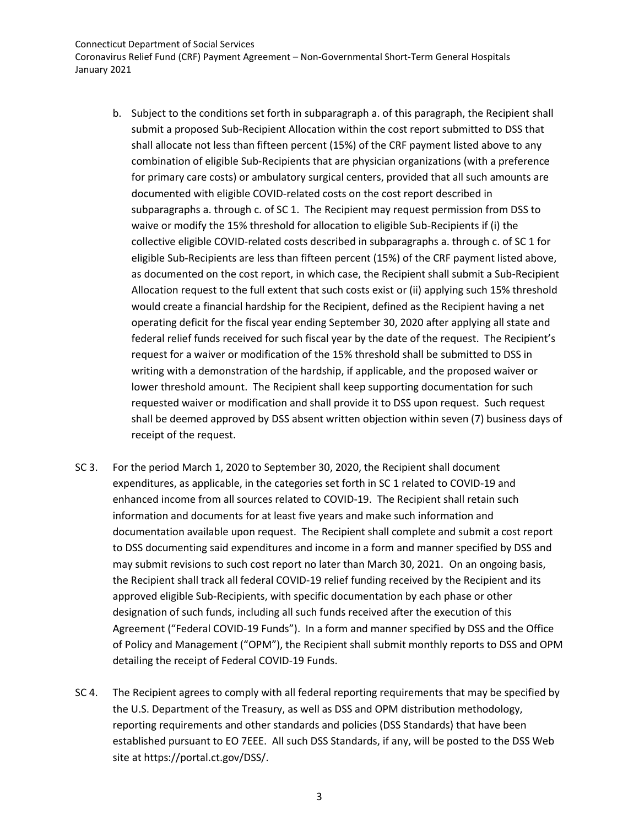Coronavirus Relief Fund (CRF) Payment Agreement – Non-Governmental Short-Term General Hospitals January 2021

- b. Subject to the conditions set forth in subparagraph a. of this paragraph, the Recipient shall submit a proposed Sub-Recipient Allocation within the cost report submitted to DSS that shall allocate not less than fifteen percent (15%) of the CRF payment listed above to any combination of eligible Sub-Recipients that are physician organizations (with a preference for primary care costs) or ambulatory surgical centers, provided that all such amounts are documented with eligible COVID-related costs on the cost report described in subparagraphs a. through c. of SC 1. The Recipient may request permission from DSS to waive or modify the 15% threshold for allocation to eligible Sub-Recipients if (i) the collective eligible COVID-related costs described in subparagraphs a. through c. of SC 1 for eligible Sub-Recipients are less than fifteen percent (15%) of the CRF payment listed above, as documented on the cost report, in which case, the Recipient shall submit a Sub-Recipient Allocation request to the full extent that such costs exist or (ii) applying such 15% threshold would create a financial hardship for the Recipient, defined as the Recipient having a net operating deficit for the fiscal year ending September 30, 2020 after applying all state and federal relief funds received for such fiscal year by the date of the request. The Recipient's request for a waiver or modification of the 15% threshold shall be submitted to DSS in writing with a demonstration of the hardship, if applicable, and the proposed waiver or lower threshold amount. The Recipient shall keep supporting documentation for such requested waiver or modification and shall provide it to DSS upon request. Such request shall be deemed approved by DSS absent written objection within seven (7) business days of receipt of the request.
- SC 3. For the period March 1, 2020 to September 30, 2020, the Recipient shall document expenditures, as applicable, in the categories set forth in SC 1 related to COVID-19 and enhanced income from all sources related to COVID-19. The Recipient shall retain such information and documents for at least five years and make such information and documentation available upon request. The Recipient shall complete and submit a cost report to DSS documenting said expenditures and income in a form and manner specified by DSS and may submit revisions to such cost report no later than March 30, 2021. On an ongoing basis, the Recipient shall track all federal COVID-19 relief funding received by the Recipient and its approved eligible Sub-Recipients, with specific documentation by each phase or other designation of such funds, including all such funds received after the execution of this Agreement ("Federal COVID-19 Funds"). In a form and manner specified by DSS and the Office of Policy and Management ("OPM"), the Recipient shall submit monthly reports to DSS and OPM detailing the receipt of Federal COVID-19 Funds.
- SC 4. The Recipient agrees to comply with all federal reporting requirements that may be specified by the U.S. Department of the Treasury, as well as DSS and OPM distribution methodology, reporting requirements and other standards and policies (DSS Standards) that have been established pursuant to EO 7EEE. All such DSS Standards, if any, will be posted to the DSS Web site at https://portal.ct.gov/DSS/.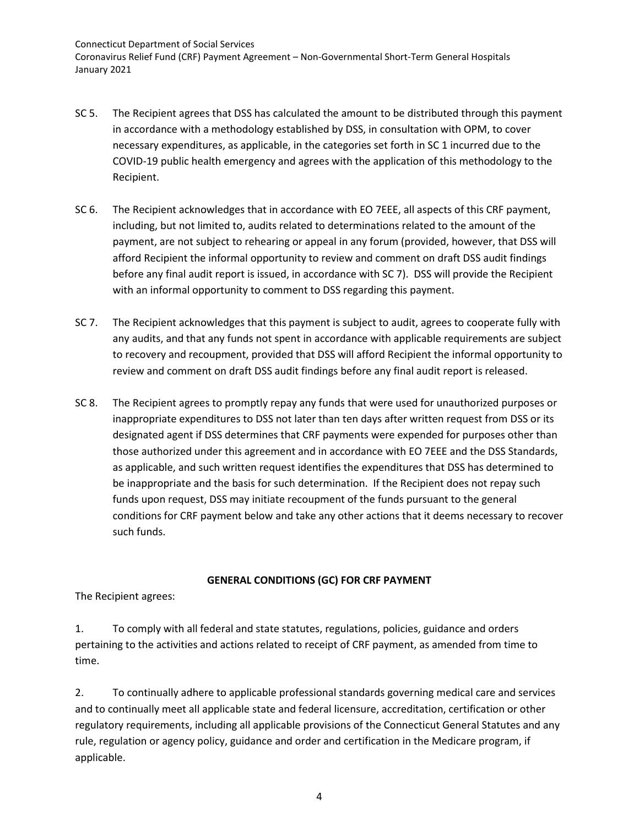Connecticut Department of Social Services Coronavirus Relief Fund (CRF) Payment Agreement – Non-Governmental Short-Term General Hospitals January 2021

- SC 5. The Recipient agrees that DSS has calculated the amount to be distributed through this payment in accordance with a methodology established by DSS, in consultation with OPM, to cover necessary expenditures, as applicable, in the categories set forth in SC 1 incurred due to the COVID-19 public health emergency and agrees with the application of this methodology to the Recipient.
- SC 6. The Recipient acknowledges that in accordance with EO 7EEE, all aspects of this CRF payment, including, but not limited to, audits related to determinations related to the amount of the payment, are not subject to rehearing or appeal in any forum (provided, however, that DSS will afford Recipient the informal opportunity to review and comment on draft DSS audit findings before any final audit report is issued, in accordance with SC 7). DSS will provide the Recipient with an informal opportunity to comment to DSS regarding this payment.
- SC 7. The Recipient acknowledges that this payment is subject to audit, agrees to cooperate fully with any audits, and that any funds not spent in accordance with applicable requirements are subject to recovery and recoupment, provided that DSS will afford Recipient the informal opportunity to review and comment on draft DSS audit findings before any final audit report is released.
- SC 8. The Recipient agrees to promptly repay any funds that were used for unauthorized purposes or inappropriate expenditures to DSS not later than ten days after written request from DSS or its designated agent if DSS determines that CRF payments were expended for purposes other than those authorized under this agreement and in accordance with EO 7EEE and the DSS Standards, as applicable, and such written request identifies the expenditures that DSS has determined to be inappropriate and the basis for such determination. If the Recipient does not repay such funds upon request, DSS may initiate recoupment of the funds pursuant to the general conditions for CRF payment below and take any other actions that it deems necessary to recover such funds.

## **GENERAL CONDITIONS (GC) FOR CRF PAYMENT**

The Recipient agrees:

1. To comply with all federal and state statutes, regulations, policies, guidance and orders pertaining to the activities and actions related to receipt of CRF payment, as amended from time to time.

2. To continually adhere to applicable professional standards governing medical care and services and to continually meet all applicable state and federal licensure, accreditation, certification or other regulatory requirements, including all applicable provisions of the Connecticut General Statutes and any rule, regulation or agency policy, guidance and order and certification in the Medicare program, if applicable.

4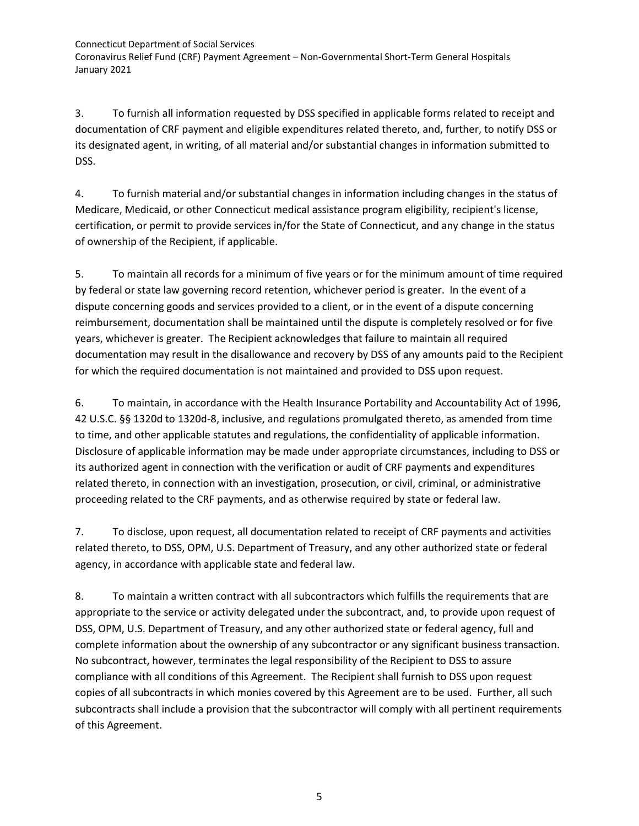Connecticut Department of Social Services Coronavirus Relief Fund (CRF) Payment Agreement – Non-Governmental Short-Term General Hospitals January 2021

3. To furnish all information requested by DSS specified in applicable forms related to receipt and documentation of CRF payment and eligible expenditures related thereto, and, further, to notify DSS or its designated agent, in writing, of all material and/or substantial changes in information submitted to DSS.

4. To furnish material and/or substantial changes in information including changes in the status of Medicare, Medicaid, or other Connecticut medical assistance program eligibility, recipient's license, certification, or permit to provide services in/for the State of Connecticut, and any change in the status of ownership of the Recipient, if applicable.

5. To maintain all records for a minimum of five years or for the minimum amount of time required by federal or state law governing record retention, whichever period is greater. In the event of a dispute concerning goods and services provided to a client, or in the event of a dispute concerning reimbursement, documentation shall be maintained until the dispute is completely resolved or for five years, whichever is greater. The Recipient acknowledges that failure to maintain all required documentation may result in the disallowance and recovery by DSS of any amounts paid to the Recipient for which the required documentation is not maintained and provided to DSS upon request.

6. To maintain, in accordance with the Health Insurance Portability and Accountability Act of 1996, 42 U.S.C. §§ 1320d to 1320d-8, inclusive, and regulations promulgated thereto, as amended from time to time, and other applicable statutes and regulations, the confidentiality of applicable information. Disclosure of applicable information may be made under appropriate circumstances, including to DSS or its authorized agent in connection with the verification or audit of CRF payments and expenditures related thereto, in connection with an investigation, prosecution, or civil, criminal, or administrative proceeding related to the CRF payments, and as otherwise required by state or federal law.

7. To disclose, upon request, all documentation related to receipt of CRF payments and activities related thereto, to DSS, OPM, U.S. Department of Treasury, and any other authorized state or federal agency, in accordance with applicable state and federal law.

8. To maintain a written contract with all subcontractors which fulfills the requirements that are appropriate to the service or activity delegated under the subcontract, and, to provide upon request of DSS, OPM, U.S. Department of Treasury, and any other authorized state or federal agency, full and complete information about the ownership of any subcontractor or any significant business transaction. No subcontract, however, terminates the legal responsibility of the Recipient to DSS to assure compliance with all conditions of this Agreement. The Recipient shall furnish to DSS upon request copies of all subcontracts in which monies covered by this Agreement are to be used. Further, all such subcontracts shall include a provision that the subcontractor will comply with all pertinent requirements of this Agreement.

5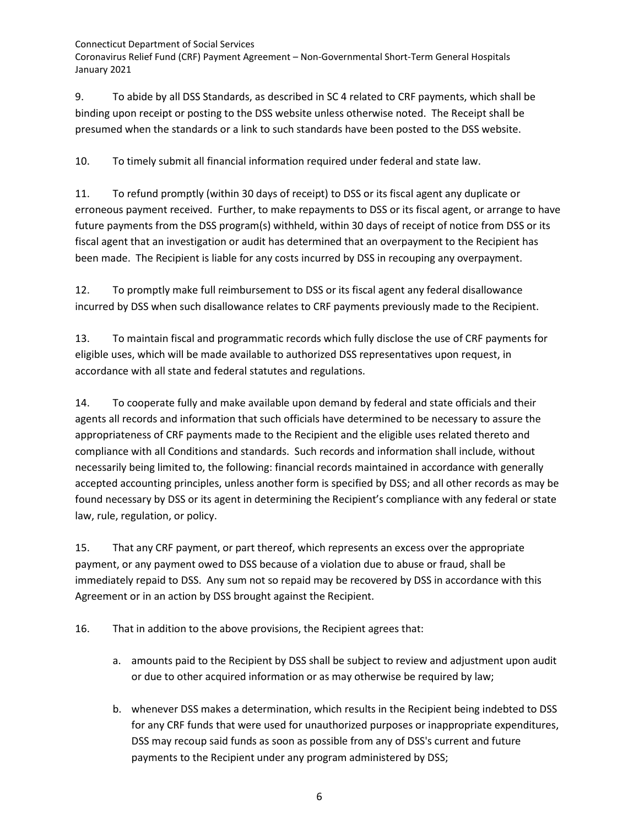Coronavirus Relief Fund (CRF) Payment Agreement – Non-Governmental Short-Term General Hospitals January 2021

9. To abide by all DSS Standards, as described in SC 4 related to CRF payments, which shall be binding upon receipt or posting to the DSS website unless otherwise noted. The Receipt shall be presumed when the standards or a link to such standards have been posted to the DSS website.

10. To timely submit all financial information required under federal and state law.

11. To refund promptly (within 30 days of receipt) to DSS or its fiscal agent any duplicate or erroneous payment received. Further, to make repayments to DSS or its fiscal agent, or arrange to have future payments from the DSS program(s) withheld, within 30 days of receipt of notice from DSS or its fiscal agent that an investigation or audit has determined that an overpayment to the Recipient has been made. The Recipient is liable for any costs incurred by DSS in recouping any overpayment.

12. To promptly make full reimbursement to DSS or its fiscal agent any federal disallowance incurred by DSS when such disallowance relates to CRF payments previously made to the Recipient.

13. To maintain fiscal and programmatic records which fully disclose the use of CRF payments for eligible uses, which will be made available to authorized DSS representatives upon request, in accordance with all state and federal statutes and regulations.

14. To cooperate fully and make available upon demand by federal and state officials and their agents all records and information that such officials have determined to be necessary to assure the appropriateness of CRF payments made to the Recipient and the eligible uses related thereto and compliance with all Conditions and standards. Such records and information shall include, without necessarily being limited to, the following: financial records maintained in accordance with generally accepted accounting principles, unless another form is specified by DSS; and all other records as may be found necessary by DSS or its agent in determining the Recipient's compliance with any federal or state law, rule, regulation, or policy.

15. That any CRF payment, or part thereof, which represents an excess over the appropriate payment, or any payment owed to DSS because of a violation due to abuse or fraud, shall be immediately repaid to DSS. Any sum not so repaid may be recovered by DSS in accordance with this Agreement or in an action by DSS brought against the Recipient.

16. That in addition to the above provisions, the Recipient agrees that:

- a. amounts paid to the Recipient by DSS shall be subject to review and adjustment upon audit or due to other acquired information or as may otherwise be required by law;
- b. whenever DSS makes a determination, which results in the Recipient being indebted to DSS for any CRF funds that were used for unauthorized purposes or inappropriate expenditures, DSS may recoup said funds as soon as possible from any of DSS's current and future payments to the Recipient under any program administered by DSS;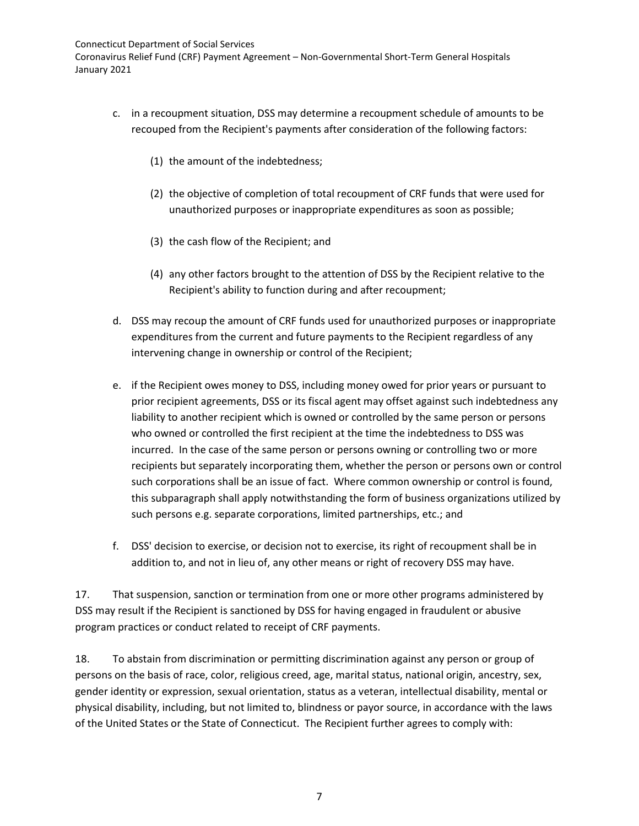Coronavirus Relief Fund (CRF) Payment Agreement – Non-Governmental Short-Term General Hospitals January 2021

- c. in a recoupment situation, DSS may determine a recoupment schedule of amounts to be recouped from the Recipient's payments after consideration of the following factors:
	- (1) the amount of the indebtedness;
	- (2) the objective of completion of total recoupment of CRF funds that were used for unauthorized purposes or inappropriate expenditures as soon as possible;
	- (3) the cash flow of the Recipient; and
	- (4) any other factors brought to the attention of DSS by the Recipient relative to the Recipient's ability to function during and after recoupment;
- d. DSS may recoup the amount of CRF funds used for unauthorized purposes or inappropriate expenditures from the current and future payments to the Recipient regardless of any intervening change in ownership or control of the Recipient;
- e. if the Recipient owes money to DSS, including money owed for prior years or pursuant to prior recipient agreements, DSS or its fiscal agent may offset against such indebtedness any liability to another recipient which is owned or controlled by the same person or persons who owned or controlled the first recipient at the time the indebtedness to DSS was incurred. In the case of the same person or persons owning or controlling two or more recipients but separately incorporating them, whether the person or persons own or control such corporations shall be an issue of fact. Where common ownership or control is found, this subparagraph shall apply notwithstanding the form of business organizations utilized by such persons e.g. separate corporations, limited partnerships, etc.; and
- f. DSS' decision to exercise, or decision not to exercise, its right of recoupment shall be in addition to, and not in lieu of, any other means or right of recovery DSS may have.

17. That suspension, sanction or termination from one or more other programs administered by DSS may result if the Recipient is sanctioned by DSS for having engaged in fraudulent or abusive program practices or conduct related to receipt of CRF payments.

18. To abstain from discrimination or permitting discrimination against any person or group of persons on the basis of race, color, religious creed, age, marital status, national origin, ancestry, sex, gender identity or expression, sexual orientation, status as a veteran, intellectual disability, mental or physical disability, including, but not limited to, blindness or payor source, in accordance with the laws of the United States or the State of Connecticut. The Recipient further agrees to comply with: